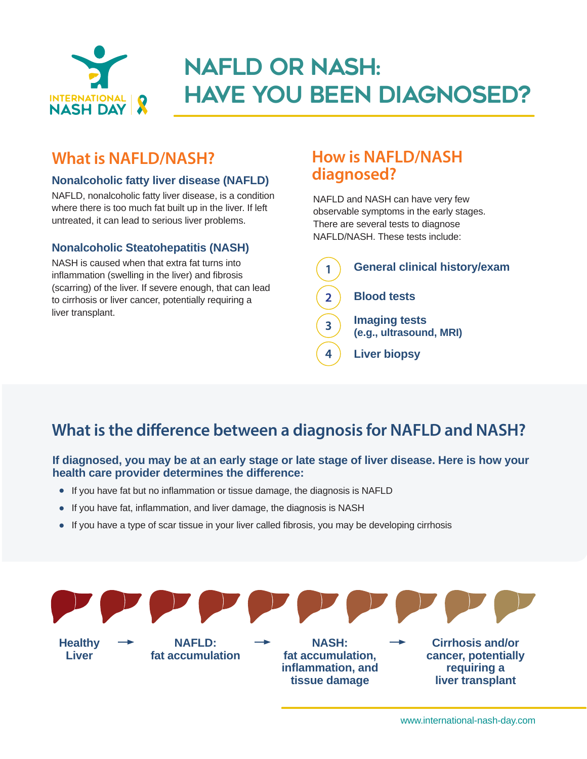

# NAFLD or NASH: Have you been diagnosed?

### **What is NAFLD/NASH?**

### **Nonalcoholic fatty liver disease (NAFLD)**

NAFLD, nonalcoholic fatty liver disease, is a condition where there is too much fat built up in the liver. If left untreated, it can lead to serious liver problems.

### **Nonalcoholic Steatohepatitis (NASH)**

NASH is caused when that extra fat turns into inflammation (swelling in the liver) and fibrosis (scarring) of the liver. If severe enough, that can lead to cirrhosis or liver cancer, potentially requiring a liver transplant.

### **How is NAFLD/NASH diagnosed?**

NAFLD and NASH can have very few observable symptoms in the early stages. There are several tests to diagnose NAFLD/NASH. These tests include:



## **What is the difference between a diagnosis for NAFLD and NASH?**

#### **If diagnosed, you may be at an early stage or late stage of liver disease. Here is how your health care provider determines the difference:**

- **•** If you have fat but no inflammation or tissue damage, the diagnosis is NAFLD
- **•** If you have fat, inflammation, and liver damage, the diagnosis is NASH
- If you have a type of scar tissue in your liver called fibrosis, you may be developing cirrhosis

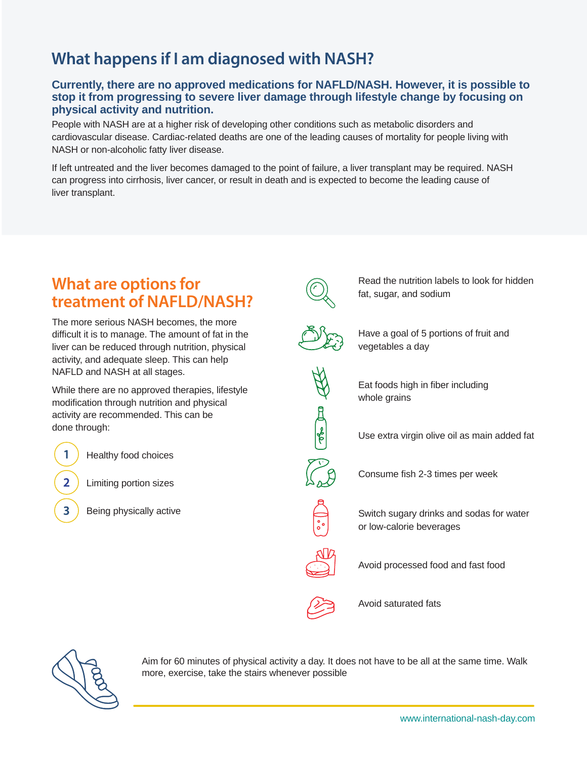## **What happens if I am diagnosed with NASH?**

#### **Currently, there are no approved medications for NAFLD/NASH. However, it is possible to stop it from progressing to severe liver damage through lifestyle change by focusing on physical activity and nutrition.**

People with NASH are at a higher risk of developing other conditions such as metabolic disorders and cardiovascular disease. Cardiac-related deaths are one of the leading causes of mortality for people living with NASH or non-alcoholic fatty liver disease.

If left untreated and the liver becomes damaged to the point of failure, a liver transplant may be required. NASH can progress into cirrhosis, liver cancer, or result in death and is expected to become the leading cause of liver transplant.

### **What are options for treatment of NAFLD/NASH?**

The more serious NASH becomes, the more difficult it is to manage. The amount of fat in the liver can be reduced through nutrition, physical activity, and adequate sleep. This can help NAFLD and NASH at all stages.

While there are no approved therapies, lifestyle modification through nutrition and physical activity are recommended. This can be done through:

Healthy food choices

 $\mathbf{1}$ 

 $2<sup>1</sup>$ 

 $\overline{3}$ 

Limiting portion sizes

Being physically active



Read the nutrition labels to look for hidden fat, sugar, and sodium



Have a goal of 5 portions of fruit and vegetables a day



Eat foods high in fiber including whole grains

Use extra virgin olive oil as main added fat



Consume fish 2-3 times per week

Switch sugary drinks and sodas for water or low-calorie beverages

Avoid processed food and fast food

Avoid saturated fats



Aim for 60 minutes of physical activity a day. It does not have to be all at the same time. Walk more, exercise, take the stairs whenever possible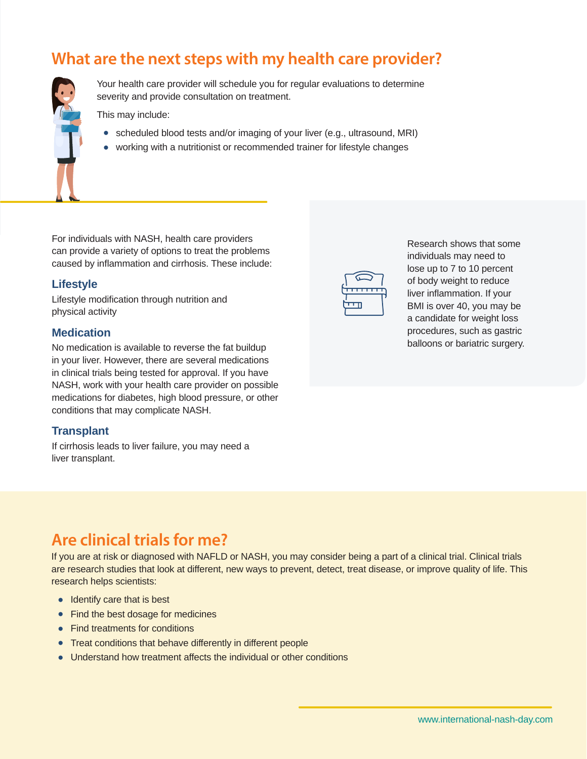### **What are the next steps with my health care provider?**



Your health care provider will schedule you for regular evaluations to determine severity and provide consultation on treatment.

This may include:

- **•** scheduled blood tests and/or imaging of your liver (e.g., ultrasound, MRI)
- **•** working with a nutritionist or recommended trainer for lifestyle changes

For individuals with NASH, health care providers can provide a variety of options to treat the problems caused by inflammation and cirrhosis. These include:

#### **Lifestyle**

Lifestyle modification through nutrition and physical activity

#### **Medication**

No medication is available to reverse the fat buildup in your liver. However, there are several medications in clinical trials being tested for approval. If you have NASH, work with your health care provider on possible medications for diabetes, high blood pressure, or other conditions that may complicate NASH.

#### **Transplant**

If cirrhosis leads to liver failure, you may need a liver transplant.



Research shows that some individuals may need to lose up to 7 to 10 percent of body weight to reduce liver inflammation. If your BMI is over 40, you may be a candidate for weight loss procedures, such as gastric balloons or bariatric surgery.

### **Are clinical trials for me?**

If you are at risk or diagnosed with NAFLD or NASH, you may consider being a part of a clinical trial. Clinical trials are research studies that look at different, new ways to prevent, detect, treat disease, or improve quality of life. This research helps scientists:

- **•** Identify care that is best
- **•** Find the best dosage for medicines
- **•** Find treatments for conditions
- **•** Treat conditions that behave differently in different people
- **•** Understand how treatment affects the individual or other conditions